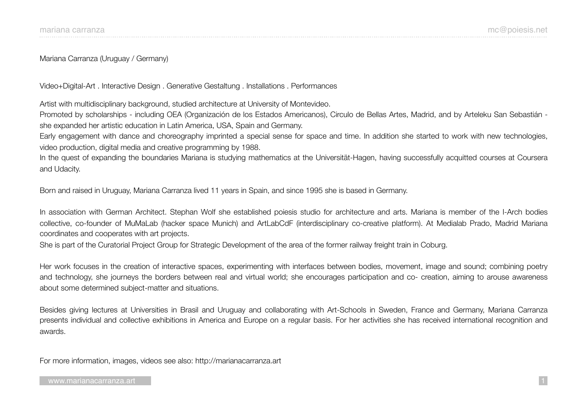Mariana Carranza (Uruguay / Germany)

Video+Digital-Art . Interactive Design . Generative Gestaltung . Installations . Performances

Artist with multidisciplinary background, studied architecture at University of Montevideo.

Promoted by scholarships - including OEA (Organización de los Estados Americanos), Circulo de Bellas Artes, Madrid, and by Arteleku San Sebastián she expanded her artistic education in Latin America, USA, Spain and Germany.

Early engagement with dance and choreography imprinted a special sense for space and time. In addition she started to work with new technologies, video production, digital media and creative programming by 1988.

In the quest of expanding the boundaries Mariana is studying mathematics at the Universität-Hagen, having successfully acquitted courses at Coursera and Udacity.

Born and raised in Uruguay, Mariana Carranza lived 11 years in Spain, and since 1995 she is based in Germany.

In association with German Architect. Stephan Wolf she established poiesis studio for architecture and arts. Mariana is member of the I-Arch bodies collective, co-founder of MuMaLab (hacker space Munich) and ArtLabCdF (interdisciplinary co-creative platform). At Medialab Prado, Madrid Mariana coordinates and cooperates with art projects.

She is part of the Curatorial Project Group for Strategic Development of the area of the former railway freight train in Coburg.

Her work focuses in the creation of interactive spaces, experimenting with interfaces between bodies, movement, image and sound; combining poetry and technology, she journeys the borders between real and virtual world; she encourages participation and co- creation, aiming to arouse awareness about some determined subject-matter and situations.

Besides giving lectures at Universities in Brasil and Uruguay and collaborating with Art-Schools in Sweden, France and Germany, Mariana Carranza presents individual and collective exhibitions in America and Europe on a regular basis. For her activities she has received international recognition and awards.

For more information, images, videos see also: http://marianacarranza.art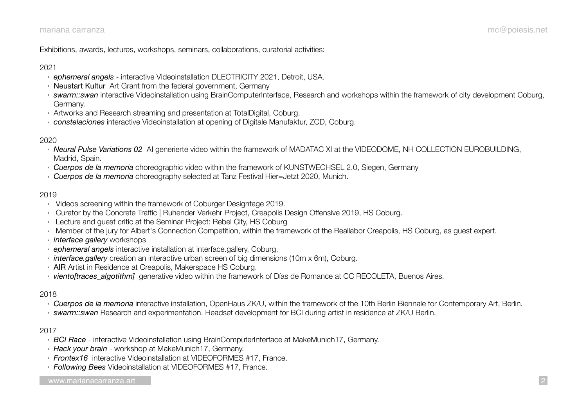Exhibitions, awards, lectures, workshops, seminars, collaborations, curatorial activities:

### 2021

- *ephemeral angels* interactive Videoinstallation DLECTRICITY 2021, Detroit, USA.
- Neustart Kultur Art Grant from the federal government, Germany
- *swarm::swan* interactive Videoinstallation using BrainComputerInterface, Research and workshops within the framework of city development Coburg, Germany.
- Artworks and Research streaming and presentation at TotalDigital, Coburg.
- *constelaciones* interactive Videoinstallation at opening of Digitale Manufaktur, ZCD, Coburg.

## 2020

- *Neural Pulse Variations 02* AI generierte video within the framework of MADATAC XI at the VIDEODOME, NH COLLECTION EUROBUILDING, Madrid, Spain.
- *Cuerpos de la memoria* choreographic video within the framework of KUNSTWECHSEL 2.0, Siegen, Germany
- *Cuerpos de la memoria* choreography selected at Tanz Festival Hier=Jetzt 2020, Munich.

# 2019

- Videos screening within the framework of Coburger Designtage 2019.
- Curator by the Concrete Traffic | Ruhender Verkehr Project, Creapolis Design Offensive 2019, HS Coburg.
- Lecture and guest critic at the Seminar Project: Rebel City, HS Coburg
- Member of the jury for Albert's Connection Competition, within the framework of the Reallabor Creapolis, HS Coburg, as guest expert.
- *interface gallery* workshops
- *ephemeral angels* interactive installation at interface.gallery, Coburg.
- *interface.gallery* creation an interactive urban screen of big dimensions (10m x 6m), Coburg.
- AIR Artist in Residence at Creapolis, Makerspace HS Coburg.
- *viento[traces\_algotithm]* generative video within the framework of Días de Romance at CC RECOLETA, Buenos Aires.

## 2018

- *Cuerpos de la memoria* interactive installation, OpenHaus ZK/U, within the framework of the 10th Berlin Biennale for Contemporary Art, Berlin.
- *swarm::swan* Research and experimentation. Headset development for BCI during artist in residence at ZK/U Berlin.

# 2017

- *BCI Race* interactive Videoinstallation using BrainComputerInterface at MakeMunich17, Germany.
- *Hack your brain* workshop at MakeMunich17, Germany.
- *Frontex16* interactive Videoinstallation at VIDEOFORMES #17, France.
- *Following Bees* Videoinstallation at VIDEOFORMES #17, France.

#### [www.marianacarranza.art](http://marianacarranza.art) …. 2**.**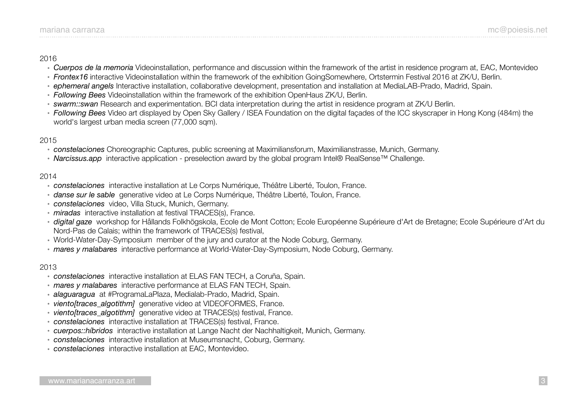### 2016

- *Cuerpos de la memoria* Videoinstallation, performance and discussion within the framework of the artist in residence program at, EAC, Montevideo
- *Frontex16* interactive Videoinstallation within the framework of the exhibition GoingSomewhere, Ortstermin Festival 2016 at ZK/U, Berlin.
- *ephemeral angels* Interactive installation, collaborative development, presentation and installation at MediaLAB-Prado, Madrid, Spain.
- *Following Bees* Videoinstallation within the framework of the exhibition OpenHaus ZK/U, Berlin.
- *swarm::swan* Research and experimentation. BCI data interpretation during the artist in residence program at ZK/U Berlin.
- *Following Bees* Video art displayed by Open Sky Gallery / ISEA Foundation on the digital façades of the ICC skyscraper in Hong Kong (484m) the world's largest urban media screen (77,000 sqm).

# 2015

- *constelaciones* Choreographic Captures, public screening at Maximiliansforum, Maximilianstrasse, Munich, Germany.
- *Narcissus.app* interactive application preselection award by the global program Intel® RealSense™ Challenge.

# 2014

- *constelaciones* interactive installation at Le Corps Numérique, Théâtre Liberté, Toulon, France.
- *danse sur le sable* generative video at Le Corps Numérique, Théâtre Liberté, Toulon, France.
- *constelaciones* video, Villa Stuck, Munich, Germany.
- *miradas* interactive installation at festival TRACES(s), France.
- *digital gaze* workshop for Hållands Folkhögskola, Ecole de Mont Cotton; Ecole Européenne Supérieure d'Art de Bretagne; Ecole Supérieure d'Art du Nord-Pas de Calais; within the framework of TRACES(s) festival,
- World-Water-Day-Symposium member of the jury and curator at the Node Coburg, Germany.
- *mares y malabares* interactive performance at World-Water-Day-Symposium, Node Coburg, Germany.

# 2013

- *constelaciones* interactive installation at ELAS FAN TECH, a Coruña, Spain.
- *mares y malabares* interactive performance at ELAS FAN TECH, Spain.
- *alaguaragua* at #ProgramaLaPlaza, Medialab-Prado, Madrid, Spain.
- *viento[traces\_algotithm]* generative video at VIDEOFORMES, France.
- *viento[traces\_algotithm]* generative video at TRACES(s) festival, France.
- *constelaciones* interactive installation at TRACES(s) festival, France.
- *cuerpos::híbridos* interactive installation at Lange Nacht der Nachhaltigkeit, Munich, Germany.
- *constelaciones* interactive installation at Museumsnacht, Coburg, Germany.
- *constelaciones* interactive installation at EAC, Montevideo.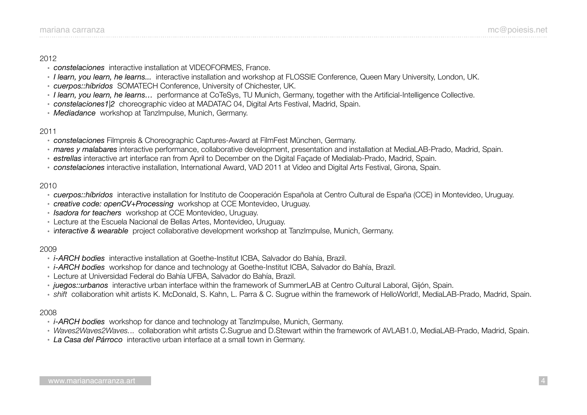#### 2012

- *constelaciones* interactive installation at VIDEOFORMES, France.
- *I learn, you learn, he learns...* interactive installation and workshop at FLOSSIE Conference, Queen Mary University, London, UK.
- *cuerpos::híbridos* SOMATECH Conference, University of Chichester, UK.
- *I learn, you learn, he learns…* performance at CoTeSys, TU Munich, Germany, together with the Artificial-Intelligence Collective.
- *constelaciones1|2* choreographic video at MADATAC 04, Digital Arts Festival, Madrid, Spain.
- *Mediadance* workshop at TanzImpulse, Munich, Germany.

## 2011

- *constelaciones* Filmpreis & Choreographic Captures-Award at FilmFest München, Germany.
- *mares y malabares* interactive performance, collaborative development, presentation and installation at MediaLAB-Prado, Madrid, Spain.
- *estrellas* interactive art interface ran from April to December on the Digital Façade of Medialab-Prado, Madrid, Spain.
- *constelaciones* interactive installation, International Award, VAD 2011 at Video and Digital Arts Festival, Girona, Spain.

## 2010

- *cuerpos::híbridos* interactive installation for Instituto de Cooperación Española at Centro Cultural de España (CCE) in Montevideo, Uruguay.
- *creative code: openCV+Processing* workshop at CCE Montevideo, Uruguay.
- *Isadora for teachers* workshop at CCE Montevideo, Uruguay.
- Lecture at the Escuela Nacional de Bellas Artes, Montevideo, Uruguay.
- i*nteractive & wearable* project collaborative development workshop at TanzImpulse, Munich, Germany.

## 2009

- *i-ARCH bodies* interactive installation at Goethe-Institut ICBA, Salvador do Bahía, Brazil.
- *i-ARCH bodies* workshop for dance and technology at Goethe-Institut ICBA, Salvador do Bahía, Brazil.
- Lecture at Universidad Federal do Bahía UFBA, Salvador do Bahía, Brazil.
- *juegos::urbanos* interactive urban interface within the framework of SummerLAB at Centro Cultural Laboral, Gijón, Spain.
- *shift* collaboration whit artists K. McDonald, S. Kahn, L. Parra & C. Sugrue within the framework of HelloWorld!, MediaLAB-Prado, Madrid, Spain.

## 2008

- *i-ARCH bodies* workshop for dance and technology at TanzImpulse, Munich, Germany.
- *Waves2Waves2Waves.*.. collaboration whit artists C.Sugrue and D.Stewart within the framework of AVLAB1.0, MediaLAB-Prado, Madrid, Spain.
- *La Casa del Párroco* interactive urban interface at a small town in Germany.